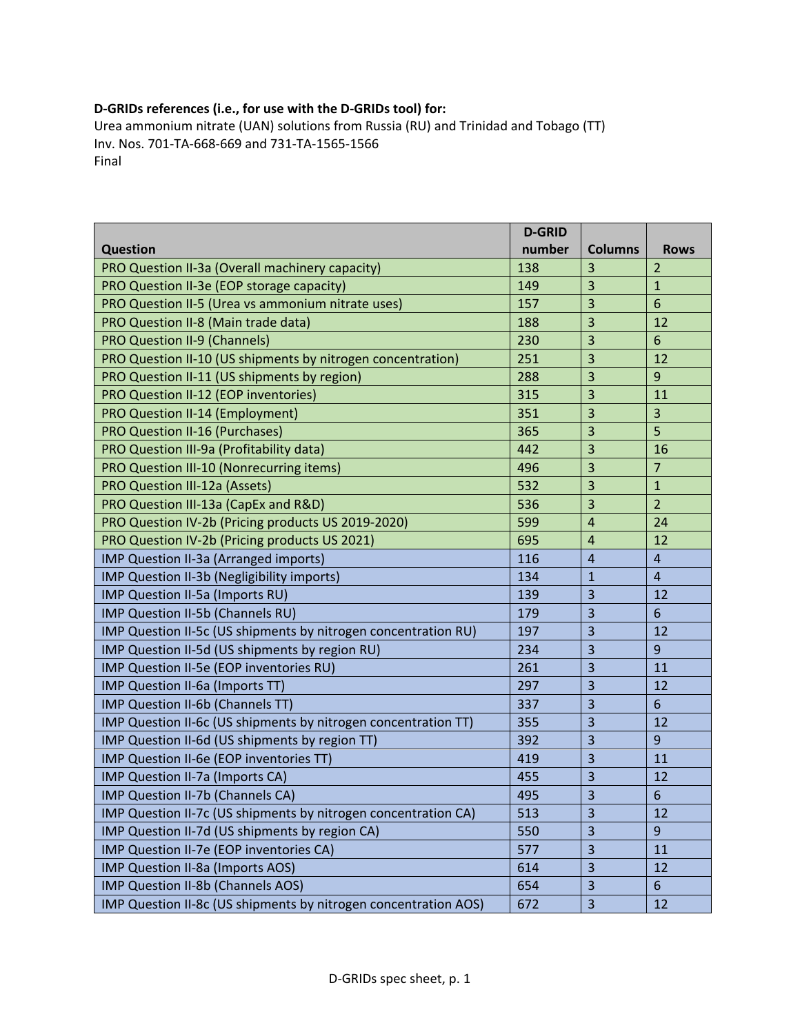## **D‐GRIDs references (i.e., for use with the D‐GRIDs tool) for:**

Urea ammonium nitrate (UAN) solutions from Russia (RU) and Trinidad and Tobago (TT) Inv. Nos. 701‐TA‐668‐669 and 731‐TA‐1565‐1566 Final

|                                                                 | <b>D-GRID</b> |                         |                |
|-----------------------------------------------------------------|---------------|-------------------------|----------------|
| <b>Question</b>                                                 | number        | <b>Columns</b>          | <b>Rows</b>    |
| PRO Question II-3a (Overall machinery capacity)                 | 138           | 3                       | $\overline{2}$ |
| PRO Question II-3e (EOP storage capacity)                       | 149           | 3                       | $\mathbf{1}$   |
| PRO Question II-5 (Urea vs ammonium nitrate uses)               | 157           | 3                       | 6              |
| PRO Question II-8 (Main trade data)                             | 188           | 3                       | 12             |
| <b>PRO Question II-9 (Channels)</b>                             | 230           | 3                       | 6              |
| PRO Question II-10 (US shipments by nitrogen concentration)     | 251           | 3                       | 12             |
| PRO Question II-11 (US shipments by region)                     | 288           | 3                       | $\overline{9}$ |
| PRO Question II-12 (EOP inventories)                            | 315           | 3                       | 11             |
| PRO Question II-14 (Employment)                                 | 351           | 3                       | 3              |
| <b>PRO Question II-16 (Purchases)</b>                           | 365           | 3                       | 5              |
| PRO Question III-9a (Profitability data)                        | 442           | 3                       | 16             |
| PRO Question III-10 (Nonrecurring items)                        | 496           | 3                       | $\overline{7}$ |
| PRO Question III-12a (Assets)                                   | 532           | 3                       | $\mathbf{1}$   |
| PRO Question III-13a (CapEx and R&D)                            | 536           | 3                       | $\overline{2}$ |
| PRO Question IV-2b (Pricing products US 2019-2020)              | 599           | $\overline{4}$          | 24             |
| PRO Question IV-2b (Pricing products US 2021)                   | 695           | $\overline{4}$          | 12             |
| IMP Question II-3a (Arranged imports)                           | 116           | $\overline{4}$          | $\overline{4}$ |
| IMP Question II-3b (Negligibility imports)                      | 134           | $\mathbf{1}$            | $\overline{4}$ |
| IMP Question II-5a (Imports RU)                                 | 139           | 3                       | 12             |
| IMP Question II-5b (Channels RU)                                | 179           | $\overline{\mathbf{3}}$ | 6              |
| IMP Question II-5c (US shipments by nitrogen concentration RU)  | 197           | 3                       | 12             |
| IMP Question II-5d (US shipments by region RU)                  | 234           | 3                       | 9              |
| IMP Question II-5e (EOP inventories RU)                         | 261           | $\overline{\mathbf{3}}$ | 11             |
| IMP Question II-6a (Imports TT)                                 | 297           | $\overline{3}$          | 12             |
| IMP Question II-6b (Channels TT)                                | 337           | $\overline{3}$          | $6\phantom{1}$ |
| IMP Question II-6c (US shipments by nitrogen concentration TT)  | 355           | 3                       | 12             |
| IMP Question II-6d (US shipments by region TT)                  | 392           | 3                       | 9              |
| IMP Question II-6e (EOP inventories TT)                         | 419           | $\overline{3}$          | 11             |
| IMP Question II-7a (Imports CA)                                 | 455           | 3                       | 12             |
| IMP Question II-7b (Channels CA)                                | 495           | $\overline{\mathbf{3}}$ | 6              |
| IMP Question II-7c (US shipments by nitrogen concentration CA)  | 513           | 3                       | 12             |
| IMP Question II-7d (US shipments by region CA)                  | 550           | 3                       | 9              |
| IMP Question II-7e (EOP inventories CA)                         | 577           | 3                       | 11             |
| IMP Question II-8a (Imports AOS)                                | 614           | 3                       | 12             |
| IMP Question II-8b (Channels AOS)                               | 654           | 3                       | $6\phantom{1}$ |
| IMP Question II-8c (US shipments by nitrogen concentration AOS) | 672           | $\overline{3}$          | 12             |